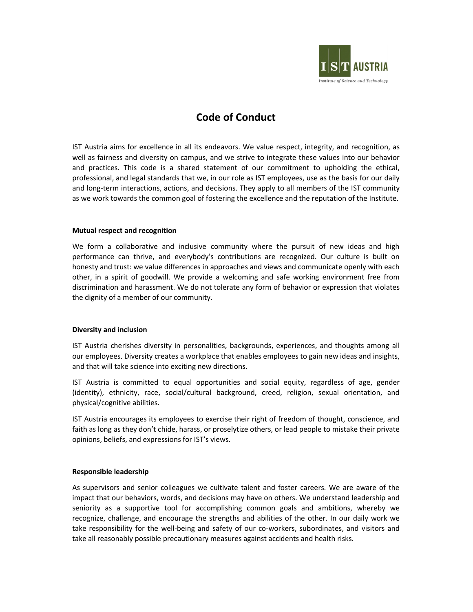

# Code of Conduct

IST Austria aims for excellence in all its endeavors. We value respect, integrity, and recognition, as well as fairness and diversity on campus, and we strive to integrate these values into our behavior and practices. This code is a shared statement of our commitment to upholding the ethical, professional, and legal standards that we, in our role as IST employees, use as the basis for our daily and long-term interactions, actions, and decisions. They apply to all members of the IST community as we work towards the common goal of fostering the excellence and the reputation of the Institute.

## Mutual respect and recognition

We form a collaborative and inclusive community where the pursuit of new ideas and high performance can thrive, and everybody's contributions are recognized. Our culture is built on honesty and trust: we value differences in approaches and views and communicate openly with each other, in a spirit of goodwill. We provide a welcoming and safe working environment free from discrimination and harassment. We do not tolerate any form of behavior or expression that violates the dignity of a member of our community.

## Diversity and inclusion

IST Austria cherishes diversity in personalities, backgrounds, experiences, and thoughts among all our employees. Diversity creates a workplace that enables employees to gain new ideas and insights, and that will take science into exciting new directions.

IST Austria is committed to equal opportunities and social equity, regardless of age, gender (identity), ethnicity, race, social/cultural background, creed, religion, sexual orientation, and physical/cognitive abilities.

IST Austria encourages its employees to exercise their right of freedom of thought, conscience, and faith as long as they don't chide, harass, or proselytize others, or lead people to mistake their private opinions, beliefs, and expressions for IST's views.

## Responsible leadership

As supervisors and senior colleagues we cultivate talent and foster careers. We are aware of the impact that our behaviors, words, and decisions may have on others. We understand leadership and seniority as a supportive tool for accomplishing common goals and ambitions, whereby we recognize, challenge, and encourage the strengths and abilities of the other. In our daily work we take responsibility for the well-being and safety of our co-workers, subordinates, and visitors and take all reasonably possible precautionary measures against accidents and health risks.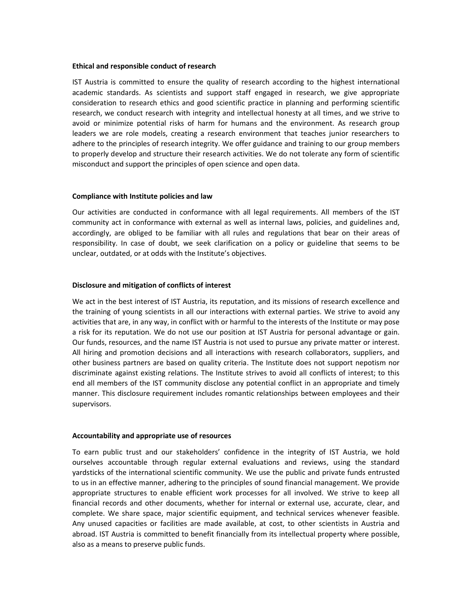#### Ethical and responsible conduct of research

IST Austria is committed to ensure the quality of research according to the highest international academic standards. As scientists and support staff engaged in research, we give appropriate consideration to research ethics and good scientific practice in planning and performing scientific research, we conduct research with integrity and intellectual honesty at all times, and we strive to avoid or minimize potential risks of harm for humans and the environment. As research group leaders we are role models, creating a research environment that teaches junior researchers to adhere to the principles of research integrity. We offer guidance and training to our group members to properly develop and structure their research activities. We do not tolerate any form of scientific misconduct and support the principles of open science and open data.

#### Compliance with Institute policies and law

Our activities are conducted in conformance with all legal requirements. All members of the IST community act in conformance with external as well as internal laws, policies, and guidelines and, accordingly, are obliged to be familiar with all rules and regulations that bear on their areas of responsibility. In case of doubt, we seek clarification on a policy or guideline that seems to be unclear, outdated, or at odds with the Institute's objectives.

#### Disclosure and mitigation of conflicts of interest

We act in the best interest of IST Austria, its reputation, and its missions of research excellence and the training of young scientists in all our interactions with external parties. We strive to avoid any activities that are, in any way, in conflict with or harmful to the interests of the Institute or may pose a risk for its reputation. We do not use our position at IST Austria for personal advantage or gain. Our funds, resources, and the name IST Austria is not used to pursue any private matter or interest. All hiring and promotion decisions and all interactions with research collaborators, suppliers, and other business partners are based on quality criteria. The Institute does not support nepotism nor discriminate against existing relations. The Institute strives to avoid all conflicts of interest; to this end all members of the IST community disclose any potential conflict in an appropriate and timely manner. This disclosure requirement includes romantic relationships between employees and their supervisors.

#### Accountability and appropriate use of resources

To earn public trust and our stakeholders' confidence in the integrity of IST Austria, we hold ourselves accountable through regular external evaluations and reviews, using the standard yardsticks of the international scientific community. We use the public and private funds entrusted to us in an effective manner, adhering to the principles of sound financial management. We provide appropriate structures to enable efficient work processes for all involved. We strive to keep all financial records and other documents, whether for internal or external use, accurate, clear, and complete. We share space, major scientific equipment, and technical services whenever feasible. Any unused capacities or facilities are made available, at cost, to other scientists in Austria and abroad. IST Austria is committed to benefit financially from its intellectual property where possible, also as a means to preserve public funds.